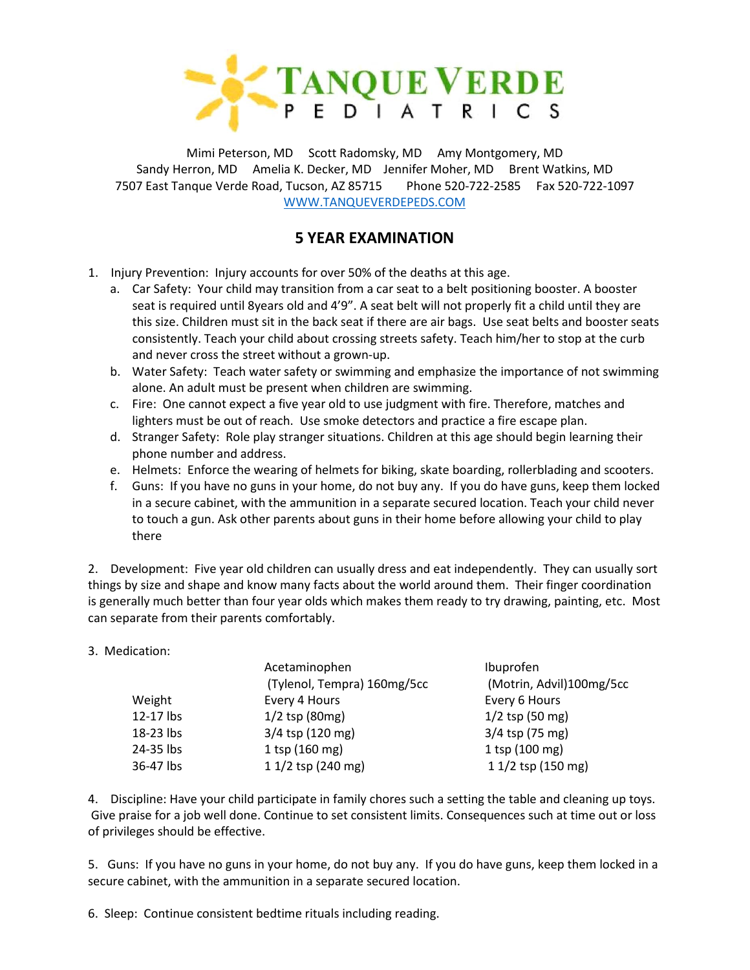

Mimi Peterson, MD Scott Radomsky, MD Amy Montgomery, MD Sandy Herron, MD Amelia K. Decker, MD Jennifer Moher, MD Brent Watkins, MD 7507 East Tanque Verde Road, Tucson, AZ 85715 Phone 520-722-2585 Fax 520-722-1097 [WWW.TANQUEVERDEPEDS.COM](http://www.tanqueverdepeds.com/)

## **5 YEAR EXAMINATION**

- 1. Injury Prevention: Injury accounts for over 50% of the deaths at this age.
	- a. Car Safety: Your child may transition from a car seat to a belt positioning booster. A booster seat is required until 8years old and 4'9". A seat belt will not properly fit a child until they are this size. Children must sit in the back seat if there are air bags. Use seat belts and booster seats consistently. Teach your child about crossing streets safety. Teach him/her to stop at the curb and never cross the street without a grown-up.
	- b. Water Safety: Teach water safety or swimming and emphasize the importance of not swimming alone. An adult must be present when children are swimming.
	- c. Fire: One cannot expect a five year old to use judgment with fire. Therefore, matches and lighters must be out of reach. Use smoke detectors and practice a fire escape plan.
	- d. Stranger Safety: Role play stranger situations. Children at this age should begin learning their phone number and address.
	- e. Helmets: Enforce the wearing of helmets for biking, skate boarding, rollerblading and scooters.
	- f. Guns: If you have no guns in your home, do not buy any. If you do have guns, keep them locked in a secure cabinet, with the ammunition in a separate secured location. Teach your child never to touch a gun. Ask other parents about guns in their home before allowing your child to play there

2. Development: Five year old children can usually dress and eat independently. They can usually sort things by size and shape and know many facts about the world around them. Their finger coordination is generally much better than four year olds which makes them ready to try drawing, painting, etc. Most can separate from their parents comfortably.

## 3. Medication:

|           | Acetaminophen               | Ibuprofen                |
|-----------|-----------------------------|--------------------------|
|           | (Tylenol, Tempra) 160mg/5cc | (Motrin, Advil)100mg/5cc |
| Weight    | Every 4 Hours               | Every 6 Hours            |
| 12-17 lbs | $1/2$ tsp (80mg)            | $1/2$ tsp (50 mg)        |
| 18-23 lbs | 3/4 tsp (120 mg)            | $3/4$ tsp (75 mg)        |
| 24-35 lbs | $1$ tsp (160 mg)            | $1$ tsp (100 mg)         |
| 36-47 lbs | 1 1/2 tsp (240 mg)          | 1 1/2 tsp (150 mg)       |
|           |                             |                          |

4. Discipline: Have your child participate in family chores such a setting the table and cleaning up toys. Give praise for a job well done. Continue to set consistent limits. Consequences such at time out or loss of privileges should be effective.

5. Guns: If you have no guns in your home, do not buy any. If you do have guns, keep them locked in a secure cabinet, with the ammunition in a separate secured location.

6. Sleep: Continue consistent bedtime rituals including reading.